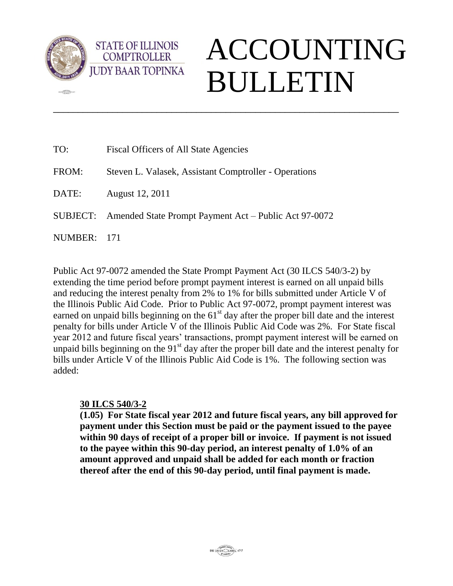

**dED** 

**STATE OF ILLINOIS COMPTROLLER** 

## ACCOUNTING BULLETIN

| TO:     | Fiscal Officers of All State Agencies                          |
|---------|----------------------------------------------------------------|
| FROM:   | Steven L. Valasek, Assistant Comptroller - Operations          |
| DATE:   | August 12, 2011                                                |
|         | SUBJECT: Amended State Prompt Payment Act – Public Act 97-0072 |
| NUMBER: | - 171                                                          |

Public Act 97-0072 amended the State Prompt Payment Act (30 ILCS 540/3-2) by extending the time period before prompt payment interest is earned on all unpaid bills and reducing the interest penalty from 2% to 1% for bills submitted under Article V of the Illinois Public Aid Code. Prior to Public Act 97-0072, prompt payment interest was earned on unpaid bills beginning on the  $61<sup>st</sup>$  day after the proper bill date and the interest penalty for bills under Article V of the Illinois Public Aid Code was 2%. For State fiscal year 2012 and future fiscal years' transactions, prompt payment interest will be earned on unpaid bills beginning on the 91<sup>st</sup> day after the proper bill date and the interest penalty for bills under Article V of the Illinois Public Aid Code is 1%. The following section was added:

\_\_\_\_\_\_\_\_\_\_\_\_\_\_\_\_\_\_\_\_\_\_\_\_\_\_\_\_\_\_\_\_\_\_\_\_\_\_\_\_\_\_\_\_\_\_\_\_\_\_\_\_\_\_\_\_\_\_\_\_\_\_\_\_\_\_\_\_\_\_

## **30 ILCS 540/3-2**

**(1.05) For State fiscal year 2012 and future fiscal years, any bill approved for payment under this Section must be paid or the payment issued to the payee within 90 days of receipt of a proper bill or invoice. If payment is not issued to the payee within this 90-day period, an interest penalty of 1.0% of an amount approved and unpaid shall be added for each month or fraction thereof after the end of this 90-day period, until final payment is made.**